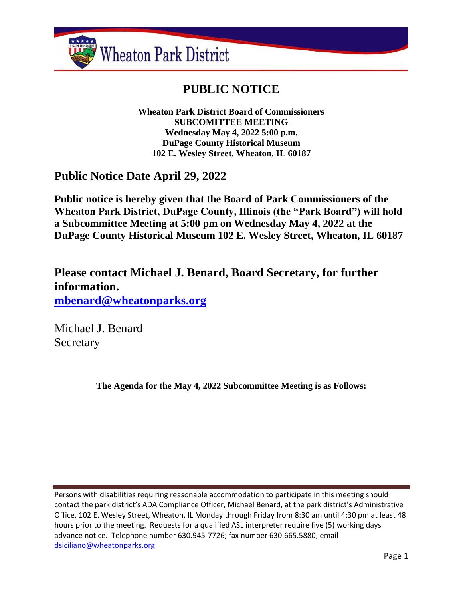

# **PUBLIC NOTICE**

**Wheaton Park District Board of Commissioners SUBCOMITTEE MEETING Wednesday May 4, 2022 5:00 p.m. DuPage County Historical Museum 102 E. Wesley Street, Wheaton, IL 60187**

## **Public Notice Date April 29, 2022**

**Public notice is hereby given that the Board of Park Commissioners of the Wheaton Park District, DuPage County, Illinois (the "Park Board") will hold a Subcommittee Meeting at 5:00 pm on Wednesday May 4, 2022 at the DuPage County Historical Museum 102 E. Wesley Street, Wheaton, IL 60187**

**Please contact Michael J. Benard, Board Secretary, for further information. [mbenard@wheatonparks.org](mailto:mbenard@wheatonparks.org)**

Michael J. Benard Secretary

**The Agenda for the May 4, 2022 Subcommittee Meeting is as Follows:**

Persons with disabilities requiring reasonable accommodation to participate in this meeting should contact the park district's ADA Compliance Officer, Michael Benard, at the park district's Administrative Office, 102 E. Wesley Street, Wheaton, IL Monday through Friday from 8:30 am until 4:30 pm at least 48 hours prior to the meeting. Requests for a qualified ASL interpreter require five (5) working days advance notice. Telephone number 630.945-7726; fax number 630.665.5880; email [dsiciliano@wheatonparks.org](mailto:dsiciliano@wheatonparks.org)